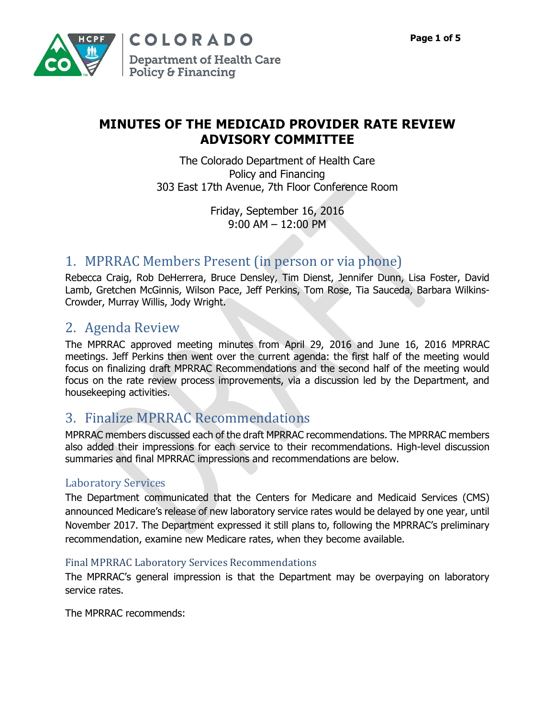

## **MINUTES OF THE MEDICAID PROVIDER RATE REVIEW ADVISORY COMMITTEE**

The Colorado Department of Health Care Policy and Financing 303 East 17th Avenue, 7th Floor Conference Room

> Friday, September 16, 2016 9:00 AM – 12:00 PM

## 1. MPRRAC Members Present (in person or via phone)

Rebecca Craig, Rob DeHerrera, Bruce Densley, Tim Dienst, Jennifer Dunn, Lisa Foster, David Lamb, Gretchen McGinnis, Wilson Pace, Jeff Perkins, Tom Rose, Tia Sauceda, Barbara Wilkins-Crowder, Murray Willis, Jody Wright.

# 2. Agenda Review

The MPRRAC approved meeting minutes from April 29, 2016 and June 16, 2016 MPRRAC meetings. Jeff Perkins then went over the current agenda: the first half of the meeting would focus on finalizing draft MPRRAC Recommendations and the second half of the meeting would focus on the rate review process improvements, via a discussion led by the Department, and housekeeping activities.

# 3. Finalize MPRRAC Recommendations

MPRRAC members discussed each of the draft MPRRAC recommendations. The MPRRAC members also added their impressions for each service to their recommendations. High-level discussion summaries and final MPRRAC impressions and recommendations are below.

## Laboratory Services

The Department communicated that the Centers for Medicare and Medicaid Services (CMS) announced Medicare's release of new laboratory service rates would be delayed by one year, until November 2017. The Department expressed it still plans to, following the MPRRAC's preliminary recommendation, examine new Medicare rates, when they become available.

## Final MPRRAC Laboratory Services Recommendations

The MPRRAC's general impression is that the Department may be overpaying on laboratory service rates.

The MPRRAC recommends: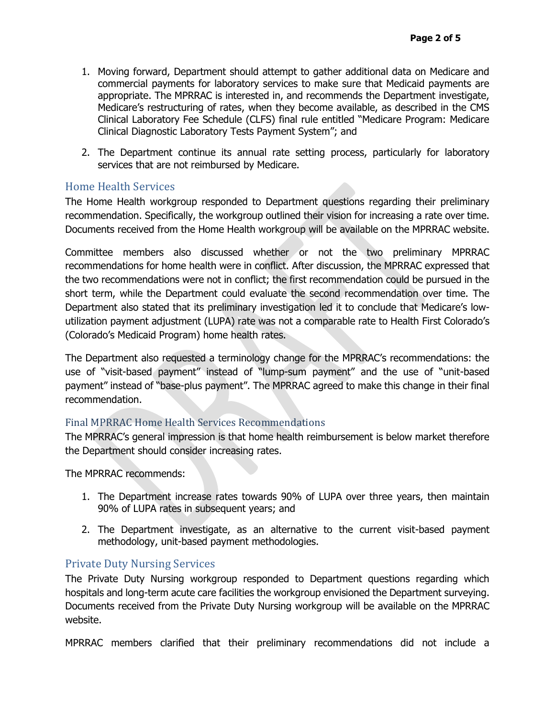- 1. Moving forward, Department should attempt to gather additional data on Medicare and commercial payments for laboratory services to make sure that Medicaid payments are appropriate. The MPRRAC is interested in, and recommends the Department investigate, Medicare's restructuring of rates, when they become available, as described in the CMS Clinical Laboratory Fee Schedule (CLFS) final rule entitled "Medicare Program: Medicare Clinical Diagnostic Laboratory Tests Payment System"; and
- 2. The Department continue its annual rate setting process, particularly for laboratory services that are not reimbursed by Medicare.

#### Home Health Services

The Home Health workgroup responded to Department questions regarding their preliminary recommendation. Specifically, the workgroup outlined their vision for increasing a rate over time. Documents received from the Home Health workgroup will be available on the MPRRAC website.

Committee members also discussed whether or not the two preliminary MPRRAC recommendations for home health were in conflict. After discussion, the MPRRAC expressed that the two recommendations were not in conflict; the first recommendation could be pursued in the short term, while the Department could evaluate the second recommendation over time. The Department also stated that its preliminary investigation led it to conclude that Medicare's lowutilization payment adjustment (LUPA) rate was not a comparable rate to Health First Colorado's (Colorado's Medicaid Program) home health rates.

The Department also requested a terminology change for the MPRRAC's recommendations: the use of "visit-based payment" instead of "lump-sum payment" and the use of "unit-based payment" instead of "base-plus payment". The MPRRAC agreed to make this change in their final recommendation.

#### Final MPRRAC Home Health Services Recommendations

The MPRRAC's general impression is that home health reimbursement is below market therefore the Department should consider increasing rates.

The MPRRAC recommends:

- 1. The Department increase rates towards 90% of LUPA over three years, then maintain 90% of LUPA rates in subsequent years; and
- 2. The Department investigate, as an alternative to the current visit-based payment methodology, unit-based payment methodologies.

#### Private Duty Nursing Services

The Private Duty Nursing workgroup responded to Department questions regarding which hospitals and long-term acute care facilities the workgroup envisioned the Department surveying. Documents received from the Private Duty Nursing workgroup will be available on the MPRRAC website.

MPRRAC members clarified that their preliminary recommendations did not include a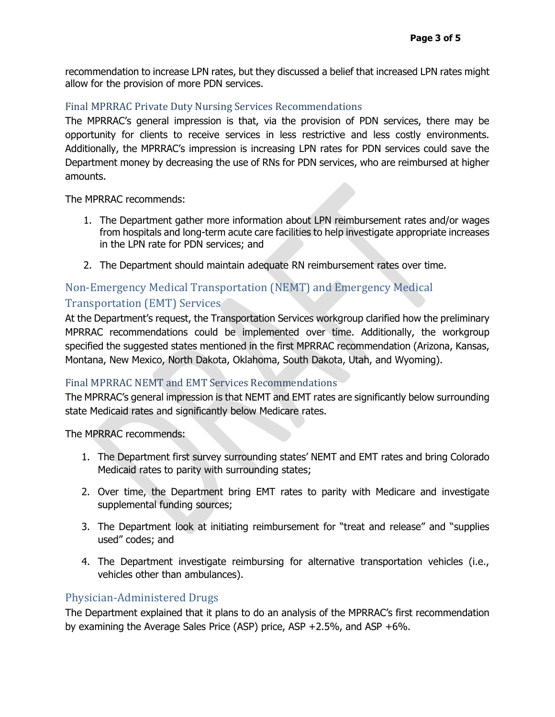recommendation to increase LPN rates, but they discussed a belief that increased LPN rates might allow for the provision of more PDN services.

#### Final MPRRAC Private Duty Nursing Services Recommendations

The MPRRAC's general impression is that, via the provision of PDN services, there may be opportunity for clients to receive services in less restrictive and less costly environments. Additionally, the MPRRAC's impression is increasing LPN rates for PDN services could save the Department money by decreasing the use of RNs for PDN services, who are reimbursed at higher amounts.

The MPRRAC recommends:

- 1. The Department gather more information about LPN reimbursement rates and/or wages from hospitals and long-term acute care facilities to help investigate appropriate increases in the LPN rate for PDN services; and
- 2. The Department should maintain adequate RN reimbursement rates over time.

## Non-Emergency Medical Transportation (NEMT) and Emergency Medical

## Transportation (EMT) Services

At the Department's request, the Transportation Services workgroup clarified how the preliminary MPRRAC recommendations could be implemented over time. Additionally, the workgroup specified the suggested states mentioned in the first MPRRAC recommendation (Arizona, Kansas, Montana, New Mexico, North Dakota, Oklahoma, South Dakota, Utah, and Wyoming).

#### Final MPRRAC NEMT and EMT Services Recommendations

The MPRRAC's general impression is that NEMT and EMT rates are significantly below surrounding state Medicaid rates and significantly below Medicare rates.

The MPRRAC recommends:

- 1. The Department first survey surrounding states' NEMT and EMT rates and bring Colorado Medicaid rates to parity with surrounding states;
- 2. Over time, the Department bring EMT rates to parity with Medicare and investigate supplemental funding sources;
- 3. The Department look at initiating reimbursement for "treat and release" and "supplies used" codes; and
- 4. The Department investigate reimbursing for alternative transportation vehicles (i.e., vehicles other than ambulances).

#### Physician-Administered Drugs

The Department explained that it plans to do an analysis of the MPRRAC's first recommendation by examining the Average Sales Price (ASP) price, ASP +2.5%, and ASP +6%.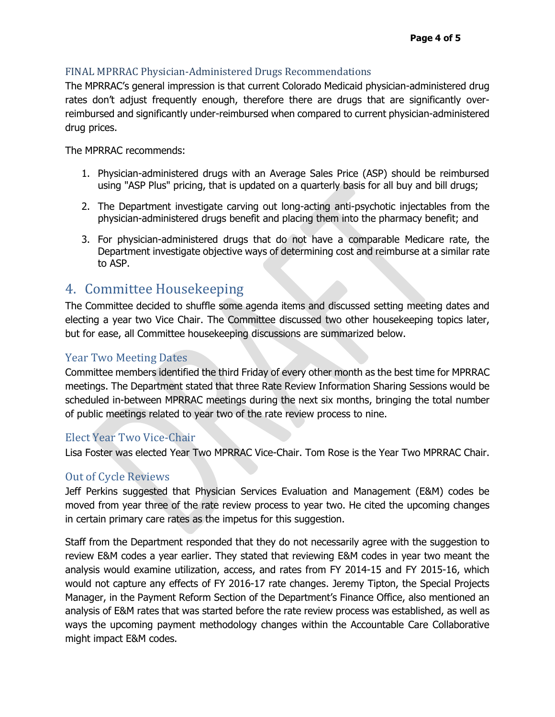### FINAL MPRRAC Physician-Administered Drugs Recommendations

The MPRRAC's general impression is that current Colorado Medicaid physician-administered drug rates don't adjust frequently enough, therefore there are drugs that are significantly overreimbursed and significantly under-reimbursed when compared to current physician-administered drug prices.

The MPRRAC recommends:

- 1. Physician-administered drugs with an Average Sales Price (ASP) should be reimbursed using "ASP Plus" pricing, that is updated on a quarterly basis for all buy and bill drugs;
- 2. The Department investigate carving out long-acting anti-psychotic injectables from the physician-administered drugs benefit and placing them into the pharmacy benefit; and
- 3. For physician-administered drugs that do not have a comparable Medicare rate, the Department investigate objective ways of determining cost and reimburse at a similar rate to ASP.

## 4. Committee Housekeeping

The Committee decided to shuffle some agenda items and discussed setting meeting dates and electing a year two Vice Chair. The Committee discussed two other housekeeping topics later, but for ease, all Committee housekeeping discussions are summarized below.

#### Year Two Meeting Dates

Committee members identified the third Friday of every other month as the best time for MPRRAC meetings. The Department stated that three Rate Review Information Sharing Sessions would be scheduled in-between MPRRAC meetings during the next six months, bringing the total number of public meetings related to year two of the rate review process to nine.

## Elect Year Two Vice-Chair

Lisa Foster was elected Year Two MPRRAC Vice-Chair. Tom Rose is the Year Two MPRRAC Chair.

## Out of Cycle Reviews

Jeff Perkins suggested that Physician Services Evaluation and Management (E&M) codes be moved from year three of the rate review process to year two. He cited the upcoming changes in certain primary care rates as the impetus for this suggestion.

Staff from the Department responded that they do not necessarily agree with the suggestion to review E&M codes a year earlier. They stated that reviewing E&M codes in year two meant the analysis would examine utilization, access, and rates from FY 2014-15 and FY 2015-16, which would not capture any effects of FY 2016-17 rate changes. Jeremy Tipton, the Special Projects Manager, in the Payment Reform Section of the Department's Finance Office, also mentioned an analysis of E&M rates that was started before the rate review process was established, as well as ways the upcoming payment methodology changes within the Accountable Care Collaborative might impact E&M codes.